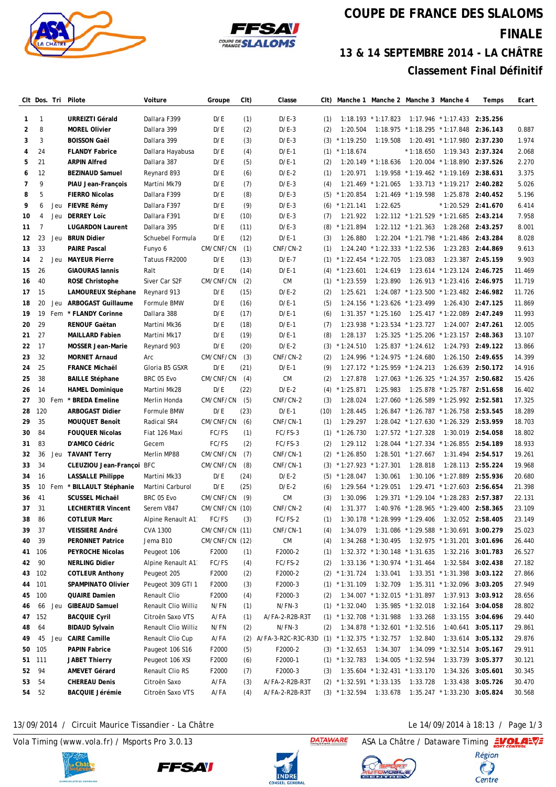



## **COUPE DE FRANCE DES SLALOMS FINALE 13 & 14 SEPTEMBRE 2014 - LA CHÂTRE Classement Final Définitif**

|                |                 |     | CIt Dos. Tri Pilote       | Voiture             | Groupe         | CIt) | Classe             |      | Clt) Manche 1 Manche 2 Manche 3 Manche 4 |                                  |                                |                                                      | Temps             | Ecart  |
|----------------|-----------------|-----|---------------------------|---------------------|----------------|------|--------------------|------|------------------------------------------|----------------------------------|--------------------------------|------------------------------------------------------|-------------------|--------|
| 1              | $\mathbf{1}$    |     | <b>URREIZTI Gérald</b>    | Dallara F399        | D/E            | (1)  | $D/E-3$            | (1)  |                                          | $1:18.193$ * 1:17.823            |                                | $1:17.946$ * 1:17.433                                | 2:35.256          |        |
| $\overline{2}$ | 8               |     | <b>MOREL Olivier</b>      | Dallara 399         | D/E            | (2)  | $D/E-3$            | (2)  | 1:20.504                                 |                                  | 1:18.975 * 1:18.295 * 1:17.848 |                                                      | 2:36.143          | 0.887  |
| 3              | 3               |     | <b>BOISSON Gaël</b>       | Dallara 399         | D/E            | (3)  | $D/E-3$            | (3)  | $*1:19.250$                              | 1:19.508                         |                                | 1:20.491 * 1:17.980                                  | 2:37.230          | 1.974  |
| 4              | 24              |     | <b>FLANDY Fabrice</b>     | Dallara Hayabusa    | D/E            | (4)  | $D/E-1$            | (1)  | $*1:18.674$                              |                                  | $*1:18.650$                    | 1:19.343 2:37.324                                    |                   | 2.068  |
| 5              | 21              |     | <b>ARPIN Alfred</b>       | Dallara 387         | D/E            | (5)  | $D/E-1$            | (2)  | 1:20.149                                 | $*1:18.636$                      |                                | 1:20.004 * 1:18.890 2:37.526                         |                   | 2.270  |
| 6              | 12              |     | <b>BEZINAUD Samuel</b>    | Reynard 893         | D/E            | (6)  | $D/E-2$            | (1)  | 1:20.971                                 |                                  |                                | 1:19.958 * 1:19.462 * 1:19.169                       | 2:38.631          | 3.375  |
| 7              | 9               |     | PIAU Jean-François        | Martini Mk79        | D/E            | (7)  | $D/E-3$            | (4)  | 1:21.469                                 | $*1:21.065$                      |                                | 1:33.713 * 1:19.217 2:40.282                         |                   | 5.026  |
| 8              | 5               |     | <b>FIERRO Nicolas</b>     | Dallara F399        | D/E            | (8)  | $D/E-3$            | (5)  | $*1:20.854$                              |                                  | $1:21.469$ * 1:19.598          |                                                      | 1:25.878 2:40.452 | 5.196  |
| 9              | 6               | Jeu | FIEVRE Rémy               | Dallara F397        | D/E            | (9)  | $D/E-3$            | (6)  | $*1:21.141$                              | 1:22.625                         |                                | $*1:20.529$ 2:41.670                                 |                   | 6.414  |
| 10             | 4               | Jeu | <b>DERREY Loïc</b>        | Dallara F391        | D/E            | (10) | $D/E-3$            | (7)  | 1:21.922                                 |                                  |                                | $1:22.112$ * 1:21.529 * 1:21.685                     | 2:43.214          | 7.958  |
| 11             | $\overline{7}$  |     | <b>LUGARDON Laurent</b>   | Dallara 395         | D/E            | (11) | $D/E-3$            | (8)  | $*1:21.894$                              |                                  | $1:22.112$ * 1:21.363          |                                                      | 1:28.268 2:43.257 | 8.001  |
| 12             | 23              | Jeu | <b>BRUN Didier</b>        | Schuebel Formula    | D/E            | (12) | $D/E-1$            | (3)  | 1:26.880                                 |                                  |                                | 1:22.204 * 1:21.798 * 1:21.486                       | 2:43.284          | 8.028  |
| 13             | 33              |     | <b>PAIRE Pascal</b>       | Funyo 6             | CM/CNF/CN      | (1)  | CNF/CN-2           | (1)  | 1:24.240                                 | $*1:22.333 * 1:22.536$           |                                |                                                      | 1:23.283 2:44.869 | 9.613  |
| 14             | 2               |     | Jeu MAYEUR Pierre         | Tatuus FR2000       | D/E            | (13) | $D/E-7$            | (1)  | $*1:22.454 * 1:22.705$                   |                                  | 1:23.083                       |                                                      | 1:23.387 2:45.159 | 9.903  |
| 15             | 26              |     | <b>GIAOURAS lannis</b>    | Ralt                | D/E            | (14) | $D/E-1$            | (4)  | $*1:23.601$                              | 1:24.619                         |                                | 1:23.614 * 1:23.124 2:46.725                         |                   | 11.469 |
| 16             | 40              |     | <b>ROSE Christophe</b>    | Siver Car S2F       | CM/CNF/CN      | (2)  | <b>CM</b>          | (1)  | $*1:23.559$                              | 1:23.890                         |                                | 1:26.913 * 1:23.416 2:46.975                         |                   | 11.719 |
| 17             | 15              |     | LAMOUREUX Stéphane        | Reynard 913         | D/E            | (15) | $D/E-2$            | (2)  | 1:25.621                                 |                                  |                                | 1:24.087 * 1:23.500 * 1:23.482 2:46.982              |                   | 11.726 |
| 18             | 20              | Jeu | ARBOGAST Guillaume        | Formule BMW         | D/E            | (16) | $D/E-1$            | (5)  |                                          | 1:24.156 * 1:23.626 * 1:23.499   |                                |                                                      | 1:26.430 2:47.125 | 11.869 |
| 19             | 19              |     | Fem * FLANDY Corinne      | Dallara 388         | D/E            | (17) | $D/E-1$            | (6)  |                                          | $1:31.357$ * 1:25.160            |                                | 1:25.417 * 1:22.089                                  | 2:47.249          | 11.993 |
| 20             | 29              |     | RENOUF Gaëtan             | Martini Mk36        | D/E            | (18) | $D/E-1$            | (7)  | 1:23.938                                 | $*1:23.534 * 1:23.727$           |                                |                                                      | 1:24.007 2:47.261 | 12.005 |
| 21             | 27              |     | <b>MAILLARD Fabien</b>    | Martini Mk17        | D/E            | (19) | $D/E-1$            | (8)  | 1:28.137                                 |                                  |                                | 1:25.325 * 1:25.206 * 1:23.157 2:48.363              |                   | 13.107 |
| 22             | 17              |     | <b>MOSSER Jean-Marie</b>  | Reynard 903         | D/E            | (20) | $D/E-2$            | (3)  | $*1:24.510$                              |                                  | $1:25.837$ * 1:24.612          |                                                      | 1:24.793 2:49.122 | 13.866 |
| 23             | 32              |     | <b>MORNET Arnaud</b>      | Arc                 | CM/CNF/CN      | (3)  | CNF/CN-2           | (2)  |                                          | 1:24.996 * 1:24.975 * 1:24.680   |                                |                                                      | 1:26.150 2:49.655 | 14.399 |
| 24             | 25              |     | <b>FRANCE Michaël</b>     | Gloria B5 GSXR      | D/E            | (21) | $D/E-1$            | (9)  |                                          | $1:27.172$ * 1:25.959 * 1:24.213 |                                |                                                      | 1:26.639 2:50.172 | 14.916 |
| 25             | 38              |     | <b>BAILLE Stéphane</b>    | BRC 05 Evo          | CM/CNF/CN      | (4)  | <b>CM</b>          | (2)  | 1:27.878                                 |                                  |                                | 1:27.063 * 1:26.325 * 1:24.357 2:50.682              |                   | 15.426 |
| 26             | 14              |     | <b>HAMEL Dominique</b>    | Martini Mk28        | D/E            | (22) | $D/E-2$            | (4)  | $*1:25.871$                              | 1:25.983                         |                                | 1:25.878 * 1:25.787 2:51.658                         |                   | 16.402 |
| 27             | 30              |     | Fem * BREDA Emeline       | Merlin Honda        | CM/CNF/CN      | (5)  | CNF/CN-2           | (3)  | 1:28.024                                 |                                  |                                | 1:27.060 * 1:26.589 * 1:25.992 2:52.581              |                   | 17.325 |
| 28             | 120             |     | <b>ARBOGAST Didier</b>    | Formule BMW         | D/E            | (23) | $D/E-1$            | (10) | 1:28.445                                 |                                  |                                | 1:26.847 * 1:26.787 * 1:26.758 2:53.545              |                   | 18.289 |
| 29             | 35              |     | MOUQUET Benoît            | Radical SR4         | CM/CNF/CN      | (6)  | CNF/CN-1           | (1)  | 1:29.297                                 |                                  |                                | 1:28.042 * 1:27.630 * 1:26.329 2:53.959              |                   | 18.703 |
| 30             | 84              |     | <b>FOUQUER Nicolas</b>    | Fiat 126 Maxi       | FC/FS          | (1)  | FC/FS-3            | (1)  | $*1:26.730$                              |                                  | $1:27.572$ * 1:27.328          |                                                      | 1:30.019 2:54.058 | 18.802 |
| 31             | 83              |     | D'AMICO Cédric            | Gecem               | FC/FS          | (2)  | FC/FS-3            | (2)  | 1:29.112                                 |                                  |                                | 1:28.044 * 1:27.334 * 1:26.855                       | 2:54.189          | 18.933 |
| 32             | 36              |     | Jeu TAVANT Terry          | Merlin MP88         | CM/CNF/CN      | (7)  | CNF/CN-1           | (2)  | $*1:26.850$                              |                                  | $1:28.501$ * 1:27.667          |                                                      | 1:31.494 2:54.517 | 19.261 |
| 33             | 34              |     | CLEUZIOU Jean-Françoi BFC |                     | CM/CNF/CN      | (8)  | CNF/CN-1           | (3)  | $*1:27.923$                              | $*1:27.301$                      | 1:28.818                       |                                                      | 1:28.113 2:55.224 | 19.968 |
| 34             | 16              |     | <b>LASSALLE Philippe</b>  | Martini Mk33        | D/E            | (24) | $D/E-2$            | (5)  | $*1:28.047$                              | 1:30.061                         |                                | 1:30.106 * 1:27.889                                  | 2:55.936          | 20.680 |
| 35             | 10 <sup>°</sup> |     | Fem * BILLAULT Stéphanie  | Martini Carburol    | D/E            | (25) | $D/E-2$            | (6)  | 1:29.564                                 | $*1:29.051$                      |                                | $1:29.471$ * 1:27.603                                | 2:56.654          | 21.398 |
| 36             | 41              |     | <b>SCUSSEL Michaël</b>    | BRC 05 Evo          | CM/CNF/CN      | (9)  | <b>CM</b>          | (3)  | 1:30.096                                 |                                  |                                | 1:29.371 * 1:29.104 * 1:28.283 2:57.387              |                   | 22.131 |
| 37             | 31              |     | <b>LECHERTIER Vincent</b> | Serem V847          | CM/CNF/CN (10) |      | CNF/CN-2           | (4)  |                                          |                                  |                                | 1:31.377  1:40.976  * 1:28.965  * 1:29.400  2:58.365 |                   | 23.109 |
| 38             | 86              |     | <b>COTLEUR Marc</b>       | Alpine Renault A1   | FC/FS          | (3)  | FC/FS-2            | (1)  |                                          | 1:30.178 * 1:28.999 * 1:29.406   |                                | 1:32.052 2:58.405                                    |                   | 23.149 |
| 39             | 37              |     | <b>VEISSIERE André</b>    | CVA 1300            | CM/CNF/CN (11) |      | CNF/CN-1           | (4)  | 1:34.079                                 |                                  |                                | 1:31.086 * 1:29.588 * 1:30.691 3:00.279              |                   | 25.023 |
| 40             | 39              |     | <b>PERONNET Patrice</b>   | Jema B10            | CM/CNF/CN (12) |      | СM                 | (4)  |                                          | $1:34.268$ * 1:30.495            |                                | 1:32.975 * 1:31.201 3:01.696                         |                   | 26.440 |
| 41             | 106             |     | PEYROCHE Nicolas          | Peugeot 106         | F2000          | (1)  | F2000-2            | (1)  |                                          | 1:32.372 * 1:30.148 * 1:31.635   |                                |                                                      | 1:32.216 3:01.783 | 26.527 |
| 42             | 90              |     | <b>NERLING Didier</b>     | Alpine Renault A1   | FC/FS          | (4)  | FC/FS-2            | (2)  |                                          | 1:33.136 * 1:30.974 * 1:31.464   |                                |                                                      | 1:32.584 3:02.438 | 27.182 |
| 43             | 102             |     | <b>COTLEUR Anthony</b>    | Peugeot 205         | F2000          | (2)  | F2000-2            |      | $(2)$ * 1:31.724                         | 1:33.041                         |                                | 1:33.351 * 1:31.398 3:03.122                         |                   | 27.866 |
| 44             | 101             |     | SPAMPINATO Olivier        | Peugeot 309 GTI 1   | F2000          | (3)  | F2000-3            |      | $(1) * 1:31.109$                         | 1:32.709                         |                                | 1:35.311 * 1:32.096 3:03.205                         |                   | 27.949 |
| 45             | 100             |     | QUAIRE Damien             | Renault Clio        | F2000          | (4)  | F2000-3            | (2)  |                                          | 1:34.007 * 1:32.015 * 1:31.897   |                                |                                                      | 1:37.913 3:03.912 | 28.656 |
| 46             | 66              |     | Jeu GIBEAUD Samuel        | Renault Clio Willia | N/FN           | (1)  | $N/FN-3$           |      | $(1) * 1:32.040$                         |                                  | 1:35.985 * 1:32.018            | 1:32.164                                             | 3:04.058          | 28.802 |
| 47             | 152             |     | <b>BACQUIE Cyril</b>      | Citroën Saxo VTS    | A/FA           | (1)  | A/FA-2-R2B-R3T     |      | $(1)$ * 1:32.708 * 1:31.988              |                                  | 1:33.268                       |                                                      | 1:33.155 3:04.696 | 29.440 |
| 48             | 64              |     | <b>BIDAUD Sylvain</b>     | Renault Clio Willia | N/FN           | (2)  | N/FN-3             | (2)  |                                          | 1:34.878 * 1:32.601 * 1:32.516   |                                | 1:40.641                                             | 3:05.117          | 29.861 |
| 49             | 45              |     | Jeu CAIRE Camille         | Renault Clio Cup    | A/FA           | (2)  | A/FA-3-R2C-R3C-R3D | (1)  | $*1:32.375 * 1:32.757$                   |                                  | 1:32.840                       | 1:33.614                                             | 3:05.132          | 29.876 |
| 50             | 105             |     | <b>PAPIN Fabrice</b>      | Paugeot 106 S16     | F2000          | (5)  | F2000-2            |      | $(3) * 1:32.653$                         | 1:34.307                         |                                | 1:34.099 * 1:32.514 3:05.167                         |                   | 29.911 |
| 51             | 111             |     | JABET Thierry             | Peugeot 106 XSI     | F2000          | (6)  | F2000-1            |      | $(1) * 1:32.783$                         |                                  | 1:34.005 * 1:32.594            |                                                      | 1:33.739 3:05.377 | 30.121 |
| 52             | 94              |     | <b>AMEVET Gérard</b>      | Renault Clio RS     | F2000          | (7)  | F2000-3            | (3)  |                                          | 1:35.604 * 1:32.431 * 1:33.170   |                                | 1:34.326                                             | 3:05.601          | 30.345 |
| 53             | 54              |     | <b>CHEREAU Denis</b>      | Citroën Saxo        | A/FA           | (3)  | A/FA-2-R2B-R3T     |      | $(2)$ * 1:32.591 * 1:33.135              |                                  | 1:33.728                       | 1:33.438                                             | 3:05.726          | 30.470 |
| 54             | 52              |     | <b>BACQUIE Jérémie</b>    | Citroën Saxo VTS    | A/FA           | (4)  | A/FA-2-R2B-R3T     |      | $(3)$ * 1:32.594                         | 1:33.678                         |                                | 1:35.247 * 1:33.230 3:05.824                         |                   | 30.568 |

## 13/09/2014 / Circuit Maurice Tissandier - La Châtre Le 14/09/2014 à 18:13 / Page 1/3

Vola Timing (www.vola.fr) / Msports Pro 3.0.13 ASA La Châtre / Dataware Timing ASA La Châtre / Dataware Timing









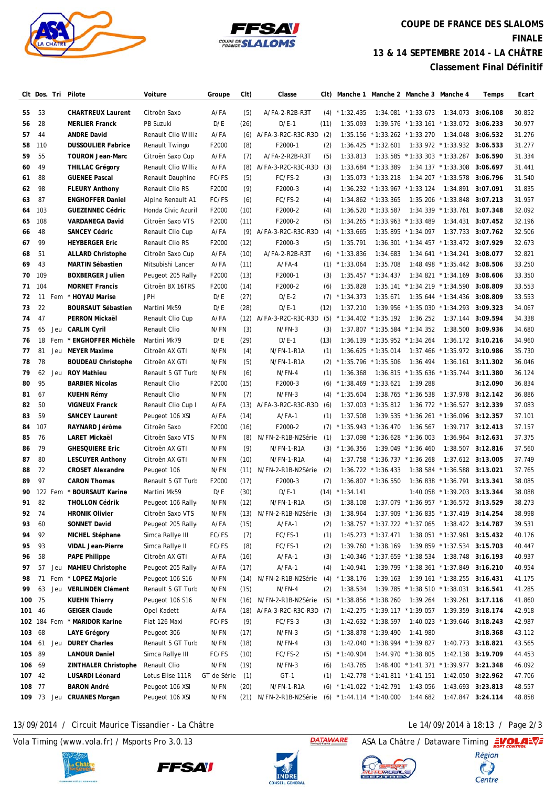



## **COUPE DE FRANCE DES SLALOMS FINALE 13 & 14 SEPTEMBRE 2014 - LA CHÂTRE Classement Final Définitif**

|          | Clt Dos. Tri |     | Pilote                                      | Voiture                             | Groupe        | CIt)        | Classe                  | CIt)       |                                       | Manche 1 Manche 2 Manche 3 Manche 4             |                       |                                           | Temps                                  | Ecart            |
|----------|--------------|-----|---------------------------------------------|-------------------------------------|---------------|-------------|-------------------------|------------|---------------------------------------|-------------------------------------------------|-----------------------|-------------------------------------------|----------------------------------------|------------------|
| 55       | 53           |     | <b>CHARTREUX Laurent</b>                    | Citroën Saxo                        | A/FA          | (5)         | A/FA-2-R2B-R3T          | (4)        | $*1:32.435$                           |                                                 | $1:34.081$ * 1:33.673 |                                           | 1:34.073 3:06.108                      | 30.852           |
| 56       | 28           |     | <b>MERLIER Franck</b>                       | PB Suzuki                           | D/E           | (26)        | $D/E-1$                 | (11)       | 1:35.093                              |                                                 |                       | $1:39.576$ * 1:33.161 * 1:33.072 3:06.233 |                                        | 30.977           |
| 57       | 44           |     | <b>ANDRE David</b>                          | Renault Clio Willia                 | A/FA          | (6)         | A/FA-3-R2C-R3C-R3D      | (2)        |                                       | 1:35.156 * 1:33.262 * 1:33.270                  |                       |                                           | 1:34.048 3:06.532                      | 31.276           |
| 58       | 110          |     | <b>DUSSOULIER Fabrice</b>                   | Renault Twingo                      | F2000         | (8)         | F2000-1                 | (2)        | 1:36.425                              | $*1:32.601$                                     |                       | 1:33.972 * 1:33.932 3:06.533              |                                        | 31.277           |
| 59       | 55           |     | <b>TOURON Jean-Marc</b>                     | Citroën Saxo Cup                    | A/FA          | (7)         | A/FA-2-R2B-R3T          | (5)        | 1:33.813                              | 1:33.585                                        |                       | $*1:33.303 * 1:33.287$                    | 3:06.590                               | 31.334           |
| 60       | 49           |     | <b>THILLAC Grégory</b>                      | Renault Clio Willia                 | A/FA          | (8)         | A/FA-3-R2C-R3C-R3D      | (3)        |                                       | 1:33.684 * 1:33.389                             |                       | $1:34.137$ * 1:33.308                     | 3:06.697                               | 31.441           |
| 61       | 88           |     | <b>GUENEE Pascal</b>                        | Renault Dauphine                    | FC/FS         | (5)         | FC/FS-2                 | (3)        |                                       | $1:35.073$ * 1:33.218                           |                       | $1:34.207$ * 1:33.578                     | 3:06.796                               | 31.540           |
| 62       | 98           |     | <b>FLEURY Anthony</b>                       | Renault Clio RS                     | F2000         | (9)         | F2000-3                 | (4)        |                                       | $1:36.232$ * 1:33.967 * 1:33.124                |                       | 1:34.891                                  | 3:07.091                               | 31.835           |
| 63       | 87           |     | <b>ENGHOFFER Daniel</b>                     | Alpine Renault A1                   | FC/FS         | (6)         | FC/FS-2                 | (4)        |                                       | $1:34.862$ * 1:33.365                           |                       | 1:35.206 * 1:33.848                       | 3:07.213                               | 31.957           |
| 64       | 103          |     | <b>GUEZENNEC Cédric</b>                     | Honda Civic Azuril                  | F2000         | (10)        | F2000-2                 | (4)        |                                       | $1:36.520$ * $1:33.587$                         |                       | 1:34.339 * 1:33.761 3:07.348              |                                        | 32.092           |
| 65       | 108          |     | <b>VARDANEGA David</b>                      | Citroën Saxo VTS                    | F2000         | (11)        | F2000-2                 | (5)        | 1:34.265                              | $*1:33.963$                                     | $*1:33.489$           |                                           | 1:34.431 3:07.452                      | 32.196           |
| 66       | 48           |     | <b>SANCEY Cédric</b>                        | Renault Clio Cup                    | A/FA          | (9)         | A/FA-3-R2C-R3C-R3D      | (4)        | $*1:33.665$                           | 1:35.895                                        | $*1:34.097$           |                                           | 1:37.733 3:07.762                      | 32.506           |
| 67       | 99           |     | <b>HEYBERGER Eric</b>                       | Renault Clio RS                     | F2000         | (12)        | F2000-3                 | (5)        | 1:35.791                              |                                                 |                       | 1:36.301 * 1:34.457 * 1:33.472 3:07.929   |                                        | 32.673           |
| 68       | 51           |     | <b>ALLARD Christophe</b>                    | Citroën Saxo Cup                    | A/FA          | (10)        | A/FA-2-R2B-R3T          | (6)        | $*1:33.836$                           | 1:34.683                                        |                       | 1:34.641 * 1:34.241 3:08.077              |                                        | 32.821           |
| 69       | 43           |     | <b>MARTIN Sébastien</b>                     | Mitsubishi Lancer                   | A/FA          | (11)        | $A/FA-4$                | (1)        | $*1:33.064$                           | 1:35.708                                        |                       | 1:48.498 * 1:35.442 3:08.506              |                                        | 33.250           |
| 70       | 109          |     | <b>BOXBERGER Julien</b>                     | Peugeot 205 Rally                   | F2000         | (13)        | F2000-1                 | (3)        |                                       | $1:35.457$ * 1:34.437                           |                       | $1:34.821$ * 1:34.169                     | 3:08.606                               | 33.350           |
| 71       | 104          |     | <b>MORNET Francis</b>                       | Citroën BX 16TRS                    | F2000         | (14)        | F2000-2                 | (6)        | 1:35.828                              |                                                 |                       | $1:35.141$ * $1:34.219$ * $1:34.590$      | 3:08.809                               | 33.553           |
| 72       | 11           | Fem | * HOYAU Marise                              | JPH                                 | D/E           | (27)        | $D/E-2$                 | (7)        | $*1:34.373$                           | 1:35.671                                        |                       | 1:35.644 * 1:34.436 3:08.809              |                                        | 33.553           |
| 73       | 22           |     | <b>BOURSAUT Sébastien</b>                   | Martini Mk59                        | D/E           | (28)        | $D/E-1$                 | (12)       | 1:37.210                              | 1:39.956                                        |                       | $*1:35.030 * 1:34.293 * 3:09.323$         |                                        | 34.067           |
| 74       | 47           |     | PERRON Mickaël                              | Renault Clio Cup                    | A/FA          |             | (12) A/FA-3-R2C-R3C-R3D | (5)        |                                       | $*1:34.402 * 1:35.192$                          | 1:36.252              | 1:37.144                                  | 3:09.594                               | 34.338           |
| 75       | 65           | Jeu | <b>CARLIN Cyril</b>                         | Renault Clio                        | N/FN          | (3)         | N/FN-3                  | (3)        |                                       | 1:37.807 * 1:35.584 * 1:34.352                  |                       |                                           | 1:38.500 3:09.936                      | 34.680           |
| 76       | 18           | Fem | * ENGHOFFER Michèle                         | Martini Mk79                        | D/E           | (29)        | $D/E-1$                 | (13)       |                                       | $1:36.139$ * 1:35.952 * 1:34.264                |                       |                                           | 1:36.172 3:10.216                      | 34.960           |
| 77       | 81           |     | Jeu MEYER Maxime                            | Citroën AX GTI                      | N/FN          |             | N/FN-1-R1A              | (1)        |                                       | $1:36.625$ * 1:35.014                           | 1:37.466              | $*1:35.972$ 3:10.986                      |                                        | 35.730           |
| 78       | 78           |     |                                             |                                     | N/FN          | (4)         | N/FN-1-R1A              |            |                                       | $*1:35.796 * 1:35.506$                          | 1:36.494              |                                           | 1:36.161 3:11.302                      | 36.046           |
|          | 62           | Jeu | <b>BOUDEAU Christophe</b>                   | Citroën AX GTI                      |               | (5)         | N/FN-4                  | (2)        |                                       |                                                 |                       |                                           |                                        | 36.124           |
| 79       | 95           |     | <b>ROY Mathieu</b>                          | Renault 5 GT Turb                   | N/FN          | (6)         | F2000-3                 | (1)        | 1:36.368                              | 1:36.815                                        | 1:39.288              | $*1:35.636 * 1:35.744$                    | 3:11.380                               | 36.834           |
| 80<br>81 | 67           |     | <b>BARBIER Nicolas</b><br><b>KUEHN Rémy</b> | Renault Clio<br>Renault Clio        | F2000<br>N/FN | (15)<br>(7) | N/FN-3                  | (6)<br>(4) | $*1:38.469 * 1:33.621$<br>$*1:35.604$ | 1:38.765                                        | $*1:36.538$           | 1:37.978                                  | 3:12.090<br>3:12.142                   | 36.886           |
|          | 50           |     | <b>VIGNEUX Franck</b>                       |                                     |               |             | (13) A/FA-3-R2C-R3C-R3D |            | 1:37.003                              | $*1:35.812$                                     |                       |                                           |                                        | 37.083           |
| 82       | 59           |     |                                             | Renault Clio Cup I                  | A/FA          |             | $A/FA-1$                | (6)        |                                       |                                                 |                       | 1:36.772 * 1:36.527 3:12.339              |                                        | 37.101           |
| 83       |              |     | <b>SANCEY Laurent</b>                       | Peugeot 106 XSI                     | A/FA          | (14)        |                         | (1)        | 1:37.508                              | 1:39.535                                        |                       | $*1:36.261 * 1:36.096$ 3:12.357           |                                        |                  |
| 84       | 107          |     | RAYNARD Jérôme                              | Citroën Saxo                        | F2000         | (16)        | F2000-2                 | (7)        |                                       | $*1:35.943 * 1:36.470$                          | 1:36.567              |                                           | 1:39.717 3:12.413                      | 37.157           |
| 85       | 76           |     | <b>LARET Mickaël</b>                        | Citroën Saxo VTS                    | N/FN          | (8)         | N/FN-2-R1B-N2Série      | (1)        |                                       | $1:37.098$ * 1:36.628 * 1:36.003                |                       | 1:36.964                                  | 3:12.631                               | 37.375           |
| 86       | 79<br>80     |     | <b>GHESQUIERE Eric</b>                      | Citroën AX GTI                      | N/FN          | (9)         | N/FN-1-R1A              | (3)        | $*1:36.356$                           |                                                 | 1:39.049 * 1:36.460   |                                           | 1:38.507 3:12.816<br>1:37.612 3:13.005 | 37.560<br>37.749 |
| 87       | 72           |     | <b>LESCUYER Anthony</b>                     | Citroën AX GTI                      | N/FN<br>N/FN  | (10)        | N/FN-1-R1A              | (4)        | 1:37.758                              | $*1:36.737 * 1:36.268$<br>$1:36.722$ * 1:36.433 |                       | 1:38.584 * 1:36.588 3:13.021              |                                        | 37.765           |
| 88       |              |     | <b>CROSET Alexandre</b>                     | Peugeot 106                         |               | (11)        | N/FN-2-R1B-N2Série      | (2)        |                                       |                                                 | 1:36.838              |                                           |                                        |                  |
| 89       | 97           |     | <b>CARON Thomas</b><br>* BOURSAUT Karine    | Renault 5 GT Turb                   | F2000         | (17)        | F2000-3                 | (7)        | $*1:34.141$                           | $1:36.807$ * 1:36.550                           |                       | $*1:36.791$ 3:13.341                      |                                        | 38.085           |
| 90       | 122 Fem      |     | <b>THOLLON Cédrik</b>                       | Martini Mk59                        | D/E           | (30)        | $D/E-1$                 | (14)       |                                       |                                                 | 1:40.058              | $*1:39.203$ 3:13.344                      |                                        | 38.088           |
| 91       | 82           |     |                                             | Peugeot 106 Rally                   | N/FN          | (12)        | N/FN-1-R1A              | (5)        | 1:38.108                              |                                                 |                       | 1:37.079 * 1:36.957 * 1:36.572 3:13.529   |                                        | 38.273           |
| 92       | 74           |     | <b>HRONIK Olivier</b>                       | Citroën Saxo VTS                    | N/FN          | (13)        | N/FN-2-R1B-N2Série      | (3)        | 1:38.964                              |                                                 |                       | 1:37.909 * 1:36.835 * 1:37.419 3:14.254   |                                        | 38.998           |
| 93       | 60           |     | <b>SONNET David</b>                         | Peugeot 205 Rally                   | A/FA          | (15)        | $A/FA-1$                | (2)        |                                       | 1:38.757 * 1:37.722 * 1:37.065                  |                       |                                           | 1:38.422 3:14.787                      | 39.531           |
| 94       | 92           |     | MICHEL Stéphane                             | Simca Rallye III<br>Simca Rallye II | FC/FS         | (7)         | FC/FS-1                 | (1)        |                                       | $1:45.273$ * 1:37.471                           |                       | $1:38.051$ * 1:37.961 3:15.432            |                                        | 40.176           |
| 95       | 93           |     | <b>VIDAL Jean-Pierre</b>                    |                                     | FC/FS         | (8)         | FC/FS-1                 | (2)        |                                       | $1:39.760$ * 1:38.169                           |                       | 1:39.859 * 1:37.534                       | 3:15.703                               | 40.447           |
| 96       | 58           |     | <b>PAPE Philippe</b>                        | Citroën AX GTI                      | A/FA          | (16)        | $A/FA-1$                | (3)        |                                       | 1:40.346 * 1:37.659 * 1:38.534                  |                       | 1:38.748                                  | 3:16.193                               | 40.937           |
| 97       | 57           | Jeu | <b>MAHIEU Christophe</b>                    | Peugeot 205 Rally                   | A/FA          | (17)        | $A/FA-1$                | (4)        | 1:40.941                              |                                                 |                       | 1:39.799 * 1:38.361 * 1:37.849 3:16.210   |                                        | 40.954           |
| 98       | 71           |     | Fem * LOPEZ Majorie                         | Peugeot 106 S16                     | N/FN          | (14)        | N/FN-2-R1B-N2Série      | (4)        | $*1:38.176$                           | 1:39.163                                        |                       | 1:39.161 * 1:38.255 3:16.431              |                                        | 41.175           |
| 99       | 63           | Jeu | <b>VERLINDEN Clément</b>                    | Renault 5 GT Turb                   | N/FN          | (15)        | N/FN-4                  | (2)        | 1:38.534                              |                                                 |                       | 1:39.785 * 1:38.510 * 1:38.031 3:16.541   |                                        | 41.285           |
|          | 100 75       |     | <b>KUEHN Thierry</b>                        | Peugeot 106 S16                     | N/FN          | (16)        | N/FN-2-R1B-N2Série      | (5)        | $*1:38.856 * 1:38.260$                |                                                 | 1:39.264              |                                           | 1:39.261 3:17.116                      | 41.860           |
|          | 101 46       |     | <b>GEIGER Claude</b>                        | Opel Kadett                         | A/FA          |             | (18) A/FA-3-R2C-R3C-R3D | (7)        |                                       | 1:42.275 * 1:39.117 * 1:39.057                  |                       |                                           | 1:39.359 3:18.174                      | 42.918           |
|          |              |     | 102 184 Fem * MARIDOR Karine                | Fiat 126 Maxi                       | FC/FS         | (9)         | FC/FS-3                 | (3)        |                                       | $1:42.632$ * 1:38.597                           |                       | 1:40.023 * 1:39.646 3:18.243              |                                        | 42.987           |
|          | 103 68       |     | <b>LAYE Grégory</b>                         | Peugeot 306                         | N/FN          | (17)        | N/FN-3                  |            | $(5)$ * 1:38.878 * 1:39.490           |                                                 | 1:41.980              |                                           | 3:18.368                               | 43.112           |
|          | 104 61       | Jeu | <b>DUREY Charles</b>                        | Renault 5 GT Turb                   | N/FN          | (18)        | N/FN-4                  | (3)        |                                       | 1:42.040 * 1:38.994 * 1:39.827                  |                       |                                           | 1:40.773 3:18.821                      | 43.565           |
|          | 105 89       |     | <b>LAMOUR Daniel</b>                        | Simca Rallye III                    | FC/FS         | (10)        | FC/FS-2                 | (5)        | $*1:40.904$                           |                                                 | 1:44.970 * 1:38.805   |                                           | 1:42.138 3:19.709                      | 44.453           |
|          | 106 69       |     | ZINTHALER Christophe                        | Renault Clio                        | N/FN          | (19)        | $N/FN-3$                | (6)        | 1:43.785                              |                                                 |                       | 1:48.400 * 1:41.371 * 1:39.977 3:21.348   |                                        | 46.092           |
|          | 107 42       |     | LUSARDI Léonard                             | Lotus Elise 111R                    | GT de Série   | (1)         | $GT-1$                  | (1)        |                                       | $1:42.778$ * 1:41.811 * 1:41.151                |                       |                                           | 1:42.050 3:22.962                      | 47.706           |
|          | 108 77       |     | <b>BARON André</b>                          | Peugeot 106 XSI                     | N/FN          | (20)        | N/FN-1-R1A              | (6)        |                                       | $*1:41.022 * 1:42.791$                          | 1:43.056              |                                           | 1:43.693 3:23.813                      | 48.557           |
|          | 109 73       | Jeu | <b>CRUANES Morgan</b>                       | Peugeot 106 XSI                     | N/FN          | (21)        | N/FN-2-R1B-N2Série      |            |                                       | $(6)$ * 1:44.114 * 1:40.000                     | 1:44.682              |                                           | 1:47.847 3:24.114                      | 48.858           |

## 13/09/2014 / Circuit Maurice Tissandier - La Châtre Le 14/09/2014 à 18:13 / Page 2/3

Vola Timing (www.vola.fr) / Msports Pro 3.0.13 ASA La Châtre / Dataware Timing ASA La Châtre / Dataware Timing